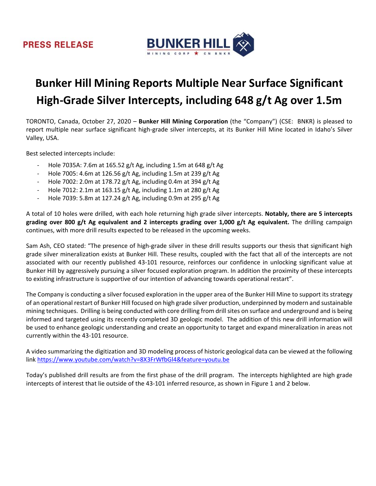

# **Bunker Hill Mining Reports Multiple Near Surface Significant High‐Grade Silver Intercepts, including 648 g/t Ag over 1.5m**

TORONTO, Canada, October 27, 2020 – **Bunker Hill Mining Corporation** (the "Company") (CSE: BNKR) is pleased to report multiple near surface significant high‐grade silver intercepts, at its Bunker Hill Mine located in Idaho's Silver Valley, USA.

Best selected intercepts include:

- ‐ Hole 7035A: 7.6m at 165.52 g/t Ag, including 1.5m at 648 g/t Ag
- ‐ Hole 7005: 4.6m at 126.56 g/t Ag, including 1.5m at 239 g/t Ag
- ‐ Hole 7002: 2.0m at 178.72 g/t Ag, including 0.4m at 394 g/t Ag
- ‐ Hole 7012: 2.1m at 163.15 g/t Ag, including 1.1m at 280 g/t Ag
- ‐ Hole 7039: 5.8m at 127.24 g/t Ag, including 0.9m at 295 g/t Ag

A total of 10 holes were drilled, with each hole returning high grade silver intercepts. **Notably, there are 5 intercepts grading over 800 g/t Ag equivalent and 2 intercepts grading over 1,000 g/t Ag equivalent.** The drilling campaign continues, with more drill results expected to be released in the upcoming weeks.

Sam Ash, CEO stated: "The presence of high‐grade silver in these drill results supports our thesis that significant high grade silver mineralization exists at Bunker Hill. These results, coupled with the fact that all of the intercepts are not associated with our recently published 43‐101 resource, reinforces our confidence in unlocking significant value at Bunker Hill by aggressively pursuing a silver focused exploration program. In addition the proximity of these intercepts to existing infrastructure is supportive of our intention of advancing towards operational restart".

The Company is conducting a silver focused exploration in the upper area of the Bunker Hill Mine to support its strategy of an operational restart of Bunker Hill focused on high grade silver production, underpinned by modern and sustainable mining techniques. Drilling is being conducted with core drilling from drill sites on surface and underground and is being informed and targeted using its recently completed 3D geologic model. The addition of this new drill information will be used to enhance geologic understanding and create an opportunity to target and expand mineralization in areas not currently within the 43‐101 resource.

A video summarizing the digitization and 3D modeling process of historic geological data can be viewed at the following link https://www.youtube.com/watch?v=8X3FrWfbGl4&feature=youtu.be

Today's published drill results are from the first phase of the drill program. The intercepts highlighted are high grade intercepts of interest that lie outside of the 43‐101 inferred resource, as shown in Figure 1 and 2 below.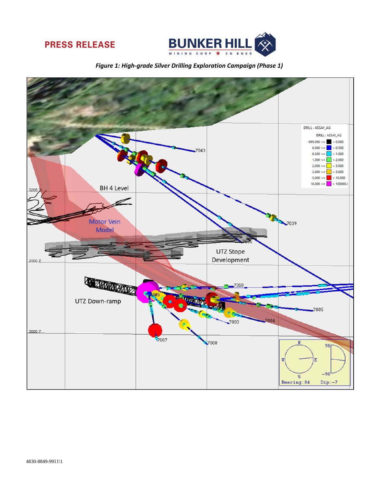



*Figure 1: High‐grade Silver Drilling Exploration Campaign (Phase 1)*

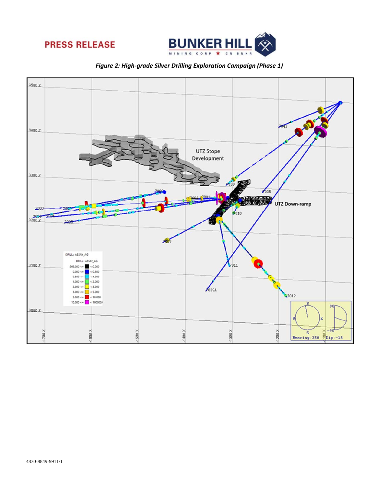



*Figure 2: High‐grade Silver Drilling Exploration Campaign (Phase 1)*

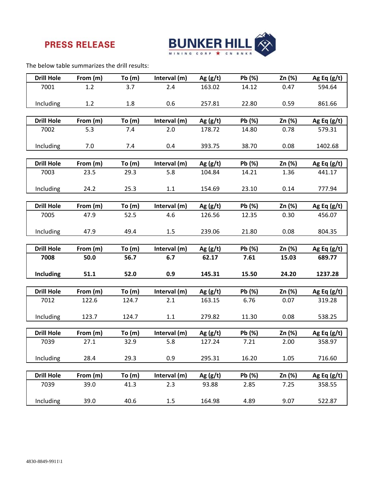

The below table summarizes the drill results:

| <b>Drill Hole</b> | From (m) | To (m)   | Interval (m) | Ag $(g/t)$ | Pb (%) | Zn (%) | Ag Eq $(g/t)$ |
|-------------------|----------|----------|--------------|------------|--------|--------|---------------|
| 7001              | 1.2      | 3.7      | 2.4          | 163.02     | 14.12  | 0.47   | 594.64        |
|                   |          |          |              |            |        |        |               |
|                   |          |          |              |            |        |        |               |
| Including         | 1.2      | 1.8      | 0.6          | 257.81     | 22.80  | 0.59   | 861.66        |
|                   |          |          |              |            |        |        |               |
| <b>Drill Hole</b> | From (m) | To $(m)$ | Interval (m) | Ag $(g/t)$ | Pb (%) | Zn (%) | Ag Eq $(g/t)$ |
| 7002              | 5.3      | 7.4      | 2.0          | 178.72     | 14.80  | 0.78   | 579.31        |
|                   |          |          |              |            |        |        |               |
| Including         | 7.0      | 7.4      | 0.4          | 393.75     | 38.70  | 0.08   | 1402.68       |
|                   |          |          |              |            |        |        |               |
|                   |          |          |              |            |        |        |               |
| <b>Drill Hole</b> | From (m) | To (m)   | Interval (m) | Ag $(g/t)$ | Pb (%) | Zn (%) | Ag Eq $(g/t)$ |
| 7003              | 23.5     | 29.3     | 5.8          | 104.84     | 14.21  | 1.36   | 441.17        |
|                   |          |          |              |            |        |        |               |
| Including         | 24.2     | 25.3     | $1.1\,$      | 154.69     | 23.10  | 0.14   | 777.94        |
|                   |          |          |              |            |        |        |               |
| <b>Drill Hole</b> | From (m) | To(m)    | Interval (m) | Ag $(g/t)$ | Pb (%) | Zn (%) | Ag Eq $(g/t)$ |
| 7005              | 47.9     | 52.5     | 4.6          | 126.56     | 12.35  | 0.30   | 456.07        |
|                   |          |          |              |            |        |        |               |
| Including         | 47.9     | 49.4     | 1.5          | 239.06     | 21.80  | 0.08   | 804.35        |
|                   |          |          |              |            |        |        |               |
|                   |          |          |              |            |        |        |               |
| <b>Drill Hole</b> | From (m) | To (m)   | Interval (m) | Ag $(g/t)$ | Pb (%) | Zn (%) | Ag Eq $(g/t)$ |
| 7008              | 50.0     | 56.7     | 6.7          | 62.17      | 7.61   | 15.03  | 689.77        |
|                   |          |          |              |            |        |        |               |
| Including         | 51.1     | 52.0     | 0.9          | 145.31     | 15.50  | 24.20  | 1237.28       |
|                   |          |          |              |            |        |        |               |
| <b>Drill Hole</b> | From (m) | To(m)    | Interval (m) | Ag $(g/t)$ | Pb (%) | Zn (%) | Ag Eq $(g/t)$ |
| 7012              | 122.6    | 124.7    | 2.1          | 163.15     | 6.76   | 0.07   | 319.28        |
|                   |          |          |              |            |        |        |               |
| Including         | 123.7    | 124.7    | 1.1          | 279.82     | 11.30  | 0.08   | 538.25        |
|                   |          |          |              |            |        |        |               |
| <b>Drill Hole</b> |          |          |              |            |        |        |               |
|                   | From (m) | To (m)   | Interval (m) | Ag $(g/t)$ | Pb (%) | Zn (%) | Ag Eq $(g/t)$ |
| 7039              | 27.1     | 32.9     | 5.8          | 127.24     | 7.21   | 2.00   | 358.97        |
|                   |          |          |              |            |        |        |               |
| Including         | 28.4     | 29.3     | 0.9          | 295.31     | 16.20  | 1.05   | 716.60        |
|                   |          |          |              |            |        |        |               |
| <b>Drill Hole</b> | From (m) | To(m)    | Interval (m) | Ag $(g/t)$ | Pb (%) | Zn (%) | Ag Eq $(g/t)$ |
| 7039              | 39.0     | 41.3     | 2.3          | 93.88      | 2.85   | 7.25   | 358.55        |
|                   |          |          |              |            |        |        |               |
| Including         | 39.0     | 40.6     | 1.5          | 164.98     | 4.89   | 9.07   | 522.87        |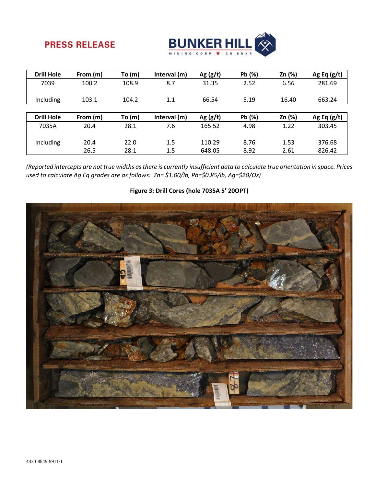

| <b>Drill Hole</b> | From (m) | To $(m)$ | Interval (m) | Ag $(g/t)$ | Pb (%) | Zn (%) | Ag Eq $(g/t)$ |
|-------------------|----------|----------|--------------|------------|--------|--------|---------------|
| 7039              | 100.2    | 108.9    | 8.7          | 31.35      | 2.52   | 6.56   | 281.69        |
| Including         | 103.1    | 104.2    | 1.1          | 66.54      | 5.19   | 16.40  | 663.24        |
|                   |          |          |              |            |        |        |               |
| <b>Drill Hole</b> | From (m) | To(m)    | Interval (m) | Ag $(g/t)$ | Pb (%) | Zn (%) | Ag Eq $(g/t)$ |
| 7035A             | 20.4     | 28.1     | 7.6          | 165.52     | 4.98   | 1.22   | 303.45        |
| Including         | 20.4     | 22.0     | 1.5          | 110.29     | 8.76   | 1.53   | 376.68        |

(Reported intercepts are not true widths as there is currently insufficient data to calculate true orientation in space. Prices *used to calculate Ag Eq grades are as follows: Zn= \$1.00/lb, Pb=\$0.85/lb, Ag=\$20/Oz)*

### **Figure 3: Drill Cores (hole 7035A 5' 20OPT)**

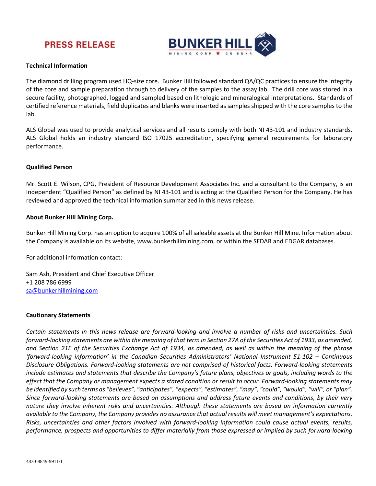

#### **Technical Information**

The diamond drilling program used HQ-size core. Bunker Hill followed standard QA/QC practices to ensure the integrity of the core and sample preparation through to delivery of the samples to the assay lab. The drill core was stored in a secure facility, photographed, logged and sampled based on lithologic and mineralogical interpretations. Standards of certified reference materials, field duplicates and blanks were inserted as samples shipped with the core samples to the lab.

ALS Global was used to provide analytical services and all results comply with both NI 43‐101 and industry standards. ALS Global holds an industry standard ISO 17025 accreditation, specifying general requirements for laboratory performance.

#### **Qualified Person**

Mr. Scott E. Wilson, CPG, President of Resource Development Associates Inc. and a consultant to the Company, is an Independent "Qualified Person" as defined by NI 43‐101 and is acting at the Qualified Person for the Company. He has reviewed and approved the technical information summarized in this news release.

#### **About Bunker Hill Mining Corp.**

Bunker Hill Mining Corp. has an option to acquire 100% of all saleable assets at the Bunker Hill Mine. Information about the Company is available on its website, www.bunkerhillmining.com, or within the SEDAR and EDGAR databases.

For additional information contact:

Sam Ash, President and Chief Executive Officer +1 208 786 6999 sa@bunkerhillmining.com

#### **Cautionary Statements**

Certain statements in this news release are forward-looking and involve a number of risks and uncertainties. Such forward-looking statements are within the meaning of that term in Section 27A of the Securities Act of 1933, as amended, and Section 21E of the Securities Exchange Act of 1934, as amended, as well as within the meaning of the phrase *'forward‐looking information' in the Canadian Securities Administrators' National Instrument 51‐102 – Continuous* Disclosure Obligations. Forward-looking statements are not comprised of historical facts. Forward-looking statements include estimates and statements that describe the Company's future plans, objectives or goals, including words to the effect that the Company or management expects a stated condition or result to occur. Forward-looking statements may be identified by such terms as "believes", "anticipates", "expects", "estimates", "may", "could", "would", "will", or "plan". Since forward-looking statements are based on assumptions and address future events and conditions, by their very *nature they involve inherent risks and uncertainties. Although these statements are based on information currently* available to the Company, the Company provides no assurance that actual results will meet management's expectations. Risks, uncertainties and other factors involved with forward-looking information could cause actual events, results, performance, prospects and opportunities to differ materially from those expressed or implied by such forward-looking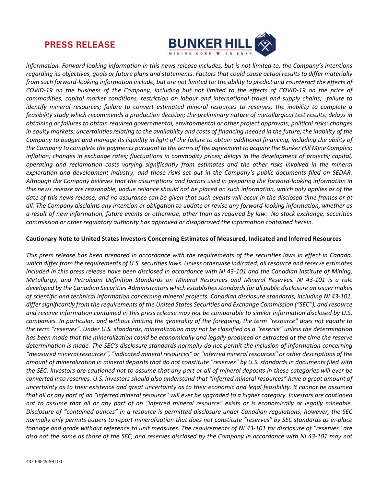

information. Forward looking information in this news release includes, but is not limited to, the Company's intentions regarding its objectives, goals or future plans and statements. Factors that could cause actual results to differ materially from such forward-looking information include, but are not limited to: the ability to predict and counteract the effects of COVID-19 on the business of the Company, including but not limited to the effects of COVID-19 on the price of commodities, capital market conditions, restriction on labour and international travel and supply chains; failure to identify mineral resources; failure to convert estimated mineral resources to reserves; the inability to complete a feasibility study which recommends a production decision; the preliminary nature of metallurgical test results; delays in obtaining or failures to obtain required governmental, environmental or other project approvals; political risks; changes in equity markets; uncertainties relating to the availability and costs of financing needed in the future; the inability of the Company to budget and manage its liquidity in light of the failure to obtain additional financing, including the ability of the Company to complete the payments pursuant to the terms of the agreement to acquire the Bunker Hill Mine Complex; inflation; changes in exchange rates; fluctuations in commodity prices; delays in the development of projects; capital, *operating and reclamation costs varying significantly from estimates and the other risks involved in the mineral* exploration and development industry; and those risks set out in the Company's public documents filed on SEDAR. Although the Company believes that the assumptions and factors used in preparing the forward-looking information in this news release are reasonable, undue reliance should not be placed on such information, which only applies as of the date of this news release, and no assurance can be given that such events will occur in the disclosed time frames or at all. The Company disclaims any intention or obligation to update or revise any forward-looking information, whether as a result of new information, future events or otherwise, other than as required by law. No stock exchange, securities *commission or other regulatory authority has approved or disapproved the information contained herein.*

#### **Cautionary Note to United States Investors Concerning Estimates of Measured, Indicated and Inferred Resources**

This press release has been prepared in accordance with the requirements of the securities laws in effect in Canada, which differ from the requirements of U.S. securities laws. Unless otherwise indicated, all resource and reserve estimates included in this press release have been disclosed in accordance with NI 43-101 and the Canadian Institute of Mining, Metallurgy, and Petroleum Definition Standards on Mineral Resources and Mineral Reserves. NI 43-101 is a rule *developed by the Canadian Securities Administrators which establishesstandardsfor all public disclosure an issuer makes* of scientific and technical information concerning mineral projects. Canadian disclosure standards, including NI 43-101, *differsignificantly from the requirements of the United States Securities and Exchange Commission ("SEC"), and resource* and reserve information contained in this press release may not be comparable to similar information disclosed by U.S. companies. In particular, and without limiting the generality of the foregoing, the term "resource" does not equate to the term "reserves". Under U.S. standards, mineralization may not be classified as a "reserve" unless the determination has been made that the mineralization could be economically and legally produced or extracted at the time the reserve determination is made. The SEC's disclosure standards normally do not permit the inclusion of information concerning "measured mineral resources", "indicated mineral resources" or "inferred mineral resources" or other descriptions of the amount of mineralization in mineral deposits that do not constitute "reserves" by U.S. standards in documents filed with the SEC. Investors are cautioned not to assume that any part or all of mineral deposits in these categories will ever be converted into reserves. U.S. investors should also understand that "inferred mineral resources" have a great amount of uncertainty as to their existence and great uncertainty as to their economic and legal feasibility. It cannot be assumed that all or any part of an "inferred mineral resource" will ever be upgraded to a higher category. Investors are cautioned not to assume that all or any part of an "inferred mineral resource" exists or is economically or legally mineable. Disclosure of "contained ounces" in a resource is permitted disclosure under Canadian regulations; however, the SEC normally only permits issuers to report mineralization that does not constitute "reserves" by SEC standards as in-place tonnage and grade without reference to unit measures. The requirements of NI 43-101 for disclosure of "reserves" are also not the same as those of the SEC, and reserves disclosed by the Company in accordance with NI 43-101 may not